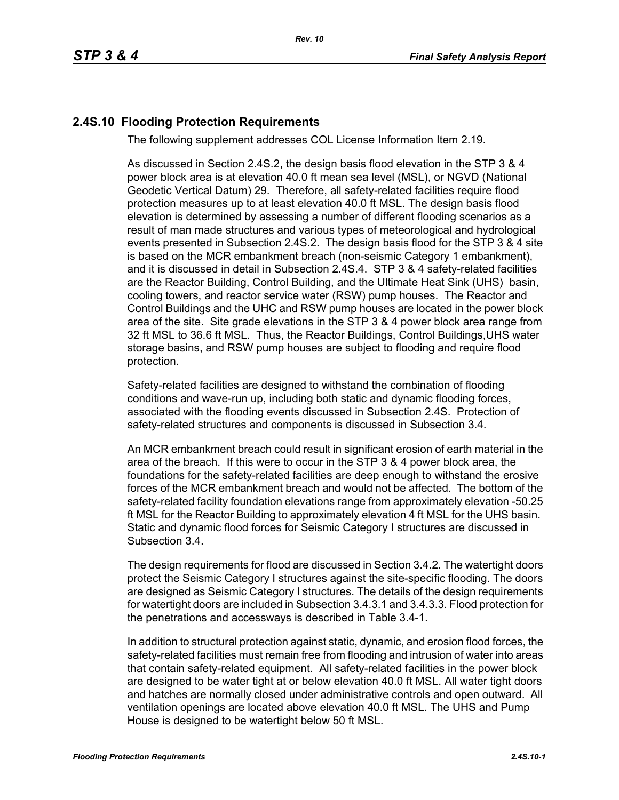## **2.4S.10 Flooding Protection Requirements**

The following supplement addresses COL License Information Item 2.19.

As discussed in Section 2.4S.2, the design basis flood elevation in the STP 3 & 4 power block area is at elevation 40.0 ft mean sea level (MSL), or NGVD (National Geodetic Vertical Datum) 29. Therefore, all safety-related facilities require flood protection measures up to at least elevation 40.0 ft MSL. The design basis flood elevation is determined by assessing a number of different flooding scenarios as a result of man made structures and various types of meteorological and hydrological events presented in Subsection 2.4S.2. The design basis flood for the STP 3 & 4 site is based on the MCR embankment breach (non-seismic Category 1 embankment), and it is discussed in detail in Subsection 2.4S.4. STP 3 & 4 safety-related facilities are the Reactor Building, Control Building, and the Ultimate Heat Sink (UHS) basin, cooling towers, and reactor service water (RSW) pump houses. The Reactor and Control Buildings and the UHC and RSW pump houses are located in the power block area of the site. Site grade elevations in the STP 3 & 4 power block area range from 32 ft MSL to 36.6 ft MSL. Thus, the Reactor Buildings, Control Buildings,UHS water storage basins, and RSW pump houses are subject to flooding and require flood protection.

Safety-related facilities are designed to withstand the combination of flooding conditions and wave-run up, including both static and dynamic flooding forces, associated with the flooding events discussed in Subsection 2.4S. Protection of safety-related structures and components is discussed in Subsection 3.4.

An MCR embankment breach could result in significant erosion of earth material in the area of the breach. If this were to occur in the STP 3 & 4 power block area, the foundations for the safety-related facilities are deep enough to withstand the erosive forces of the MCR embankment breach and would not be affected. The bottom of the safety-related facility foundation elevations range from approximately elevation -50.25 ft MSL for the Reactor Building to approximately elevation 4 ft MSL for the UHS basin. Static and dynamic flood forces for Seismic Category I structures are discussed in Subsection 3.4.

The design requirements for flood are discussed in Section 3.4.2. The watertight doors protect the Seismic Category I structures against the site-specific flooding. The doors are designed as Seismic Category I structures. The details of the design requirements for watertight doors are included in Subsection 3.4.3.1 and 3.4.3.3. Flood protection for the penetrations and accessways is described in Table 3.4-1.

In addition to structural protection against static, dynamic, and erosion flood forces, the safety-related facilities must remain free from flooding and intrusion of water into areas that contain safety-related equipment. All safety-related facilities in the power block are designed to be water tight at or below elevation 40.0 ft MSL. All water tight doors and hatches are normally closed under administrative controls and open outward. All ventilation openings are located above elevation 40.0 ft MSL. The UHS and Pump House is designed to be watertight below 50 ft MSL.